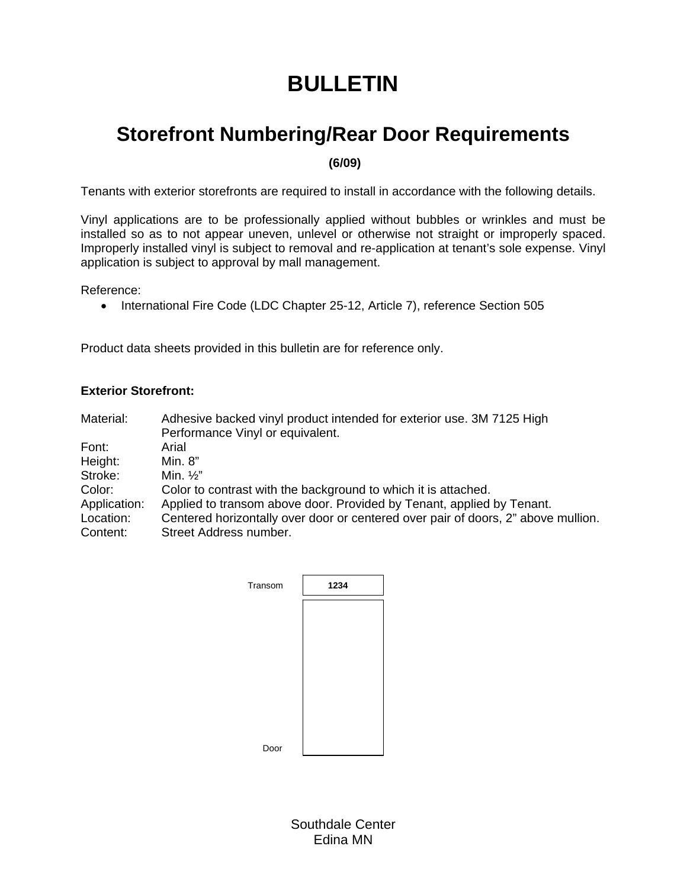# **BULLETIN**

# **Storefront Numbering/Rear Door Requirements**

 **(6/09)** 

Tenants with exterior storefronts are required to install in accordance with the following details.

Vinyl applications are to be professionally applied without bubbles or wrinkles and must be installed so as to not appear uneven, unlevel or otherwise not straight or improperly spaced. Improperly installed vinyl is subject to removal and re-application at tenant's sole expense. Vinyl application is subject to approval by mall management.

Reference:

• International Fire Code (LDC Chapter 25-12, Article 7), reference Section 505

Product data sheets provided in this bulletin are for reference only.

#### **Exterior Storefront:**

Material: Adhesive backed vinyl product intended for exterior use. 3M 7125 High Performance Vinyl or equivalent. Font: Arial Height: Min. 8" Stroke: Min. 1/2" Color: Color to contrast with the background to which it is attached. Application: Applied to transom above door. Provided by Tenant, applied by Tenant. Location: Centered horizontally over door or centered over pair of doors, 2" above mullion.<br>Content: Street Address number. Street Address number.

| Transom | 1234 |
|---------|------|
|         |      |
|         |      |
|         |      |
|         |      |
|         |      |
| Door    |      |

Southdale Center Edina MN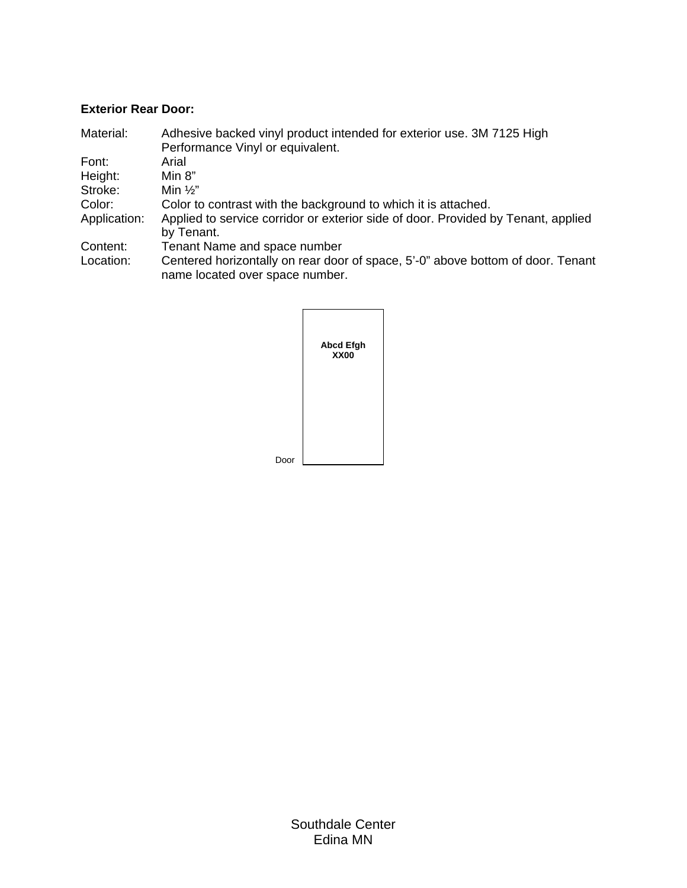## **Exterior Rear Door:**

| Material:    | Adhesive backed vinyl product intended for exterior use. 3M 7125 High             |
|--------------|-----------------------------------------------------------------------------------|
|              | Performance Vinyl or equivalent.                                                  |
| Font:        | Arial                                                                             |
| Height:      | Min $8"$                                                                          |
| Stroke:      | Min $\frac{1}{2}$ "                                                               |
| Color:       | Color to contrast with the background to which it is attached.                    |
| Application: | Applied to service corridor or exterior side of door. Provided by Tenant, applied |
|              | by Tenant.                                                                        |
| Content:     | Tenant Name and space number                                                      |
| Location:    | Centered horizontally on rear door of space, 5'-0" above bottom of door. Tenant   |
|              | name located over space number.                                                   |